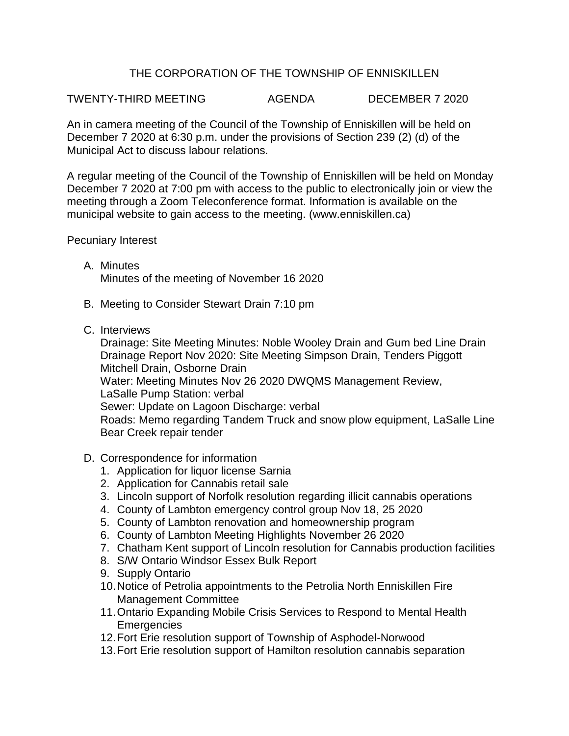## THE CORPORATION OF THE TOWNSHIP OF ENNISKILLEN

## TWENTY-THIRD MEETING AGENDA DECEMBER 7 2020

An in camera meeting of the Council of the Township of Enniskillen will be held on December 7 2020 at 6:30 p.m. under the provisions of Section 239 (2) (d) of the Municipal Act to discuss labour relations.

A regular meeting of the Council of the Township of Enniskillen will be held on Monday December 7 2020 at 7:00 pm with access to the public to electronically join or view the meeting through a Zoom Teleconference format. Information is available on the municipal website to gain access to the meeting. (www.enniskillen.ca)

Pecuniary Interest

- A. Minutes Minutes of the meeting of November 16 2020
- B. Meeting to Consider Stewart Drain 7:10 pm
- C. Interviews

Drainage: Site Meeting Minutes: Noble Wooley Drain and Gum bed Line Drain Drainage Report Nov 2020: Site Meeting Simpson Drain, Tenders Piggott Mitchell Drain, Osborne Drain Water: Meeting Minutes Nov 26 2020 DWQMS Management Review, LaSalle Pump Station: verbal Sewer: Update on Lagoon Discharge: verbal Roads: Memo regarding Tandem Truck and snow plow equipment, LaSalle Line Bear Creek repair tender

- D. Correspondence for information
	- 1. Application for liquor license Sarnia
	- 2. Application for Cannabis retail sale
	- 3. Lincoln support of Norfolk resolution regarding illicit cannabis operations
	- 4. County of Lambton emergency control group Nov 18, 25 2020
	- 5. County of Lambton renovation and homeownership program
	- 6. County of Lambton Meeting Highlights November 26 2020
	- 7. Chatham Kent support of Lincoln resolution for Cannabis production facilities
	- 8. S/W Ontario Windsor Essex Bulk Report
	- 9. Supply Ontario
	- 10.Notice of Petrolia appointments to the Petrolia North Enniskillen Fire Management Committee
	- 11.Ontario Expanding Mobile Crisis Services to Respond to Mental Health **Emergencies**
	- 12.Fort Erie resolution support of Township of Asphodel-Norwood
	- 13.Fort Erie resolution support of Hamilton resolution cannabis separation